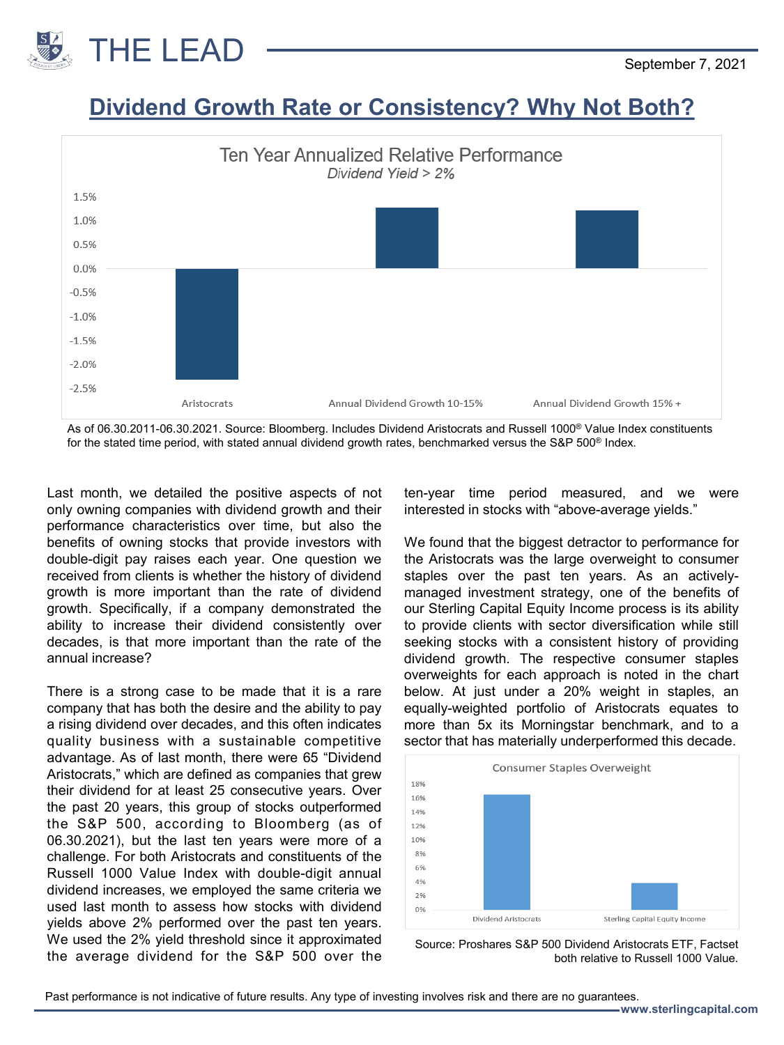

## **Dividend Growth Rate or Consistency? Why Not Both?**



As of 06.30.2011-06.30.2021. Source: Bloomberg. Includes Dividend Aristocrats and Russell 1000® Value Index constituents for the stated time period, with stated annual dividend growth rates, benchmarked versus the S&P 500® Index.

Last month, we detailed the positive aspects of not only owning companies with dividend growth and their performance characteristics over time, but also the benefits of owning stocks that provide investors with double-digit pay raises each year. One question we received from clients is whether the history of dividend growth is more important than the rate of dividend growth. Specifically, if a company demonstrated the ability to increase their dividend consistently over decades, is that more important than the rate of the annual increase?

There is a strong case to be made that it is a rare company that has both the desire and the ability to pay a rising dividend over decades, and this often indicates quality business with a sustainable competitive advantage. As of last month, there were 65 "Dividend Aristocrats," which are defined as companies that grew their dividend for at least 25 consecutive years. Over the past 20 years, this group of stocks outperformed the S&P 500, according to Bloomberg (as of 06.30.2021), but the last ten years were more of a challenge. For both Aristocrats and constituents of the Russell 1000 Value Index with double-digit annual dividend increases, we employed the same criteria we used last month to assess how stocks with dividend yields above 2% performed over the past ten years. We used the 2% yield threshold since it approximated the average dividend for the S&P 500 over the ten-year time period measured, and we were interested in stocks with "above-average yields."

We found that the biggest detractor to performance for the Aristocrats was the large overweight to consumer staples over the past ten years. As an activelymanaged investment strategy, one of the benefits of our Sterling Capital Equity Income process is its ability to provide clients with sector diversification while still seeking stocks with a consistent history of providing dividend growth. The respective consumer staples overweights for each approach is noted in the chart below. At just under a 20% weight in staples, an equally-weighted portfolio of Aristocrats equates to more than 5x its Morningstar benchmark, and to a sector that has materially underperformed this decade.



Source: Proshares S&P 500 Dividend Aristocrats ETF, Factset both relative to Russell 1000 Value.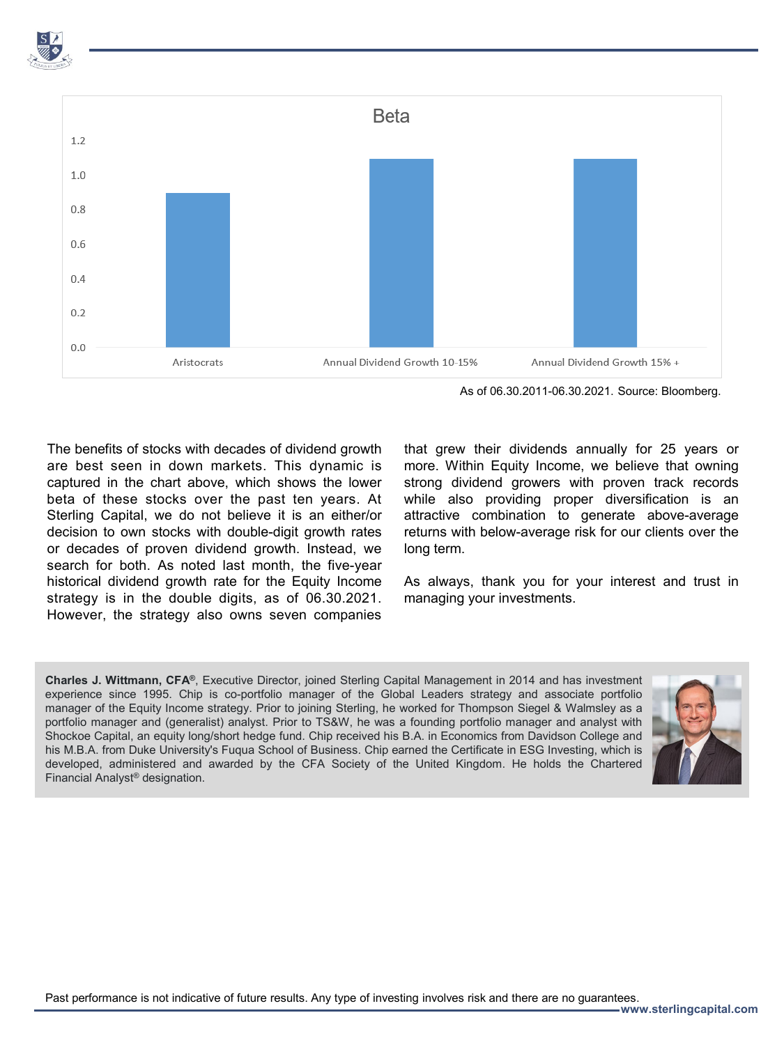

As of 06.30.2011-06.30.2021. Source: Bloomberg.

The benefits of stocks with decades of dividend growth are best seen in down markets. This dynamic is captured in the chart above, which shows the lower beta of these stocks over the past ten years. At Sterling Capital, we do not believe it is an either/or decision to own stocks with double-digit growth rates or decades of proven dividend growth. Instead, we search for both. As noted last month, the five-year historical dividend growth rate for the Equity Income strategy is in the double digits, as of 06.30.2021. However, the strategy also owns seven companies

that grew their dividends annually for 25 years or more. Within Equity Income, we believe that owning strong dividend growers with proven track records while also providing proper diversification is an attractive combination to generate above-average returns with below-average risk for our clients over the long term.

As always, thank you for your interest and trust in managing your investments.

**Charles J. Wittmann, CFA®**, Executive Director, joined Sterling Capital Management in 2014 and has investment experience since 1995. Chip is co-portfolio manager of the Global Leaders strategy and associate portfolio manager of the Equity Income strategy. Prior to joining Sterling, he worked for Thompson Siegel & Walmsley as a portfolio manager and (generalist) analyst. Prior to TS&W, he was a founding portfolio manager and analyst with Shockoe Capital, an equity long/short hedge fund. Chip received his B.A. in Economics from Davidson College and his M.B.A. from Duke University's Fuqua School of Business. Chip earned the Certificate in ESG Investing, which is developed, administered and awarded by the CFA Society of the United Kingdom. He holds the Chartered Financial Analyst® designation.



Past performance is not indicative of future results. Any type of investing involves risk and there are no guarantees.

**www.sterlingcapital.com**